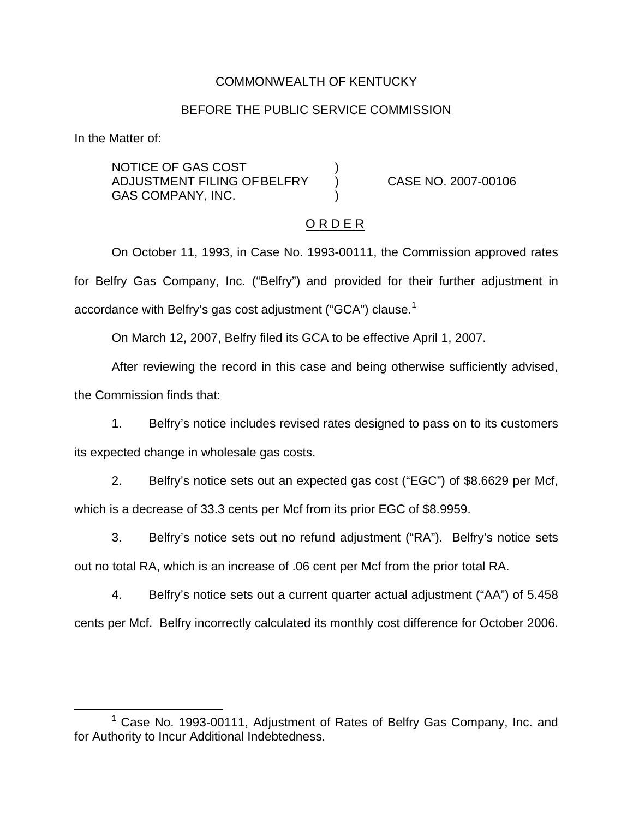### COMMONWEALTH OF KENTUCKY

#### BEFORE THE PUBLIC SERVICE COMMISSION

In the Matter of:

NOTICE OF GAS COST ) ADJUSTMENT FILING OFBELFRY ) CASE NO. 2007-00106 GAS COMPANY, INC.

#### O R D E R

On October 11, 1993, in Case No. 1993-00111, the Commission approved rates for Belfry Gas Company, Inc. ("Belfry") and provided for their further adjustment in accordance with Belfry's gas cost adjustment ("GCA") clause.<sup>1</sup>

On March 12, 2007, Belfry filed its GCA to be effective April 1, 2007.

After reviewing the record in this case and being otherwise sufficiently advised, the Commission finds that:

1. Belfry's notice includes revised rates designed to pass on to its customers its expected change in wholesale gas costs.

2. Belfry's notice sets out an expected gas cost ("EGC") of \$8.6629 per Mcf, which is a decrease of 33.3 cents per Mcf from its prior EGC of \$8.9959.

3. Belfry's notice sets out no refund adjustment ("RA"). Belfry's notice sets out no total RA, which is an increase of .06 cent per Mcf from the prior total RA.

4. Belfry's notice sets out a current quarter actual adjustment ("AA") of 5.458 cents per Mcf. Belfry incorrectly calculated its monthly cost difference for October 2006.

 $1$  Case No. 1993-00111, Adjustment of Rates of Belfry Gas Company, Inc. and for Authority to Incur Additional Indebtedness.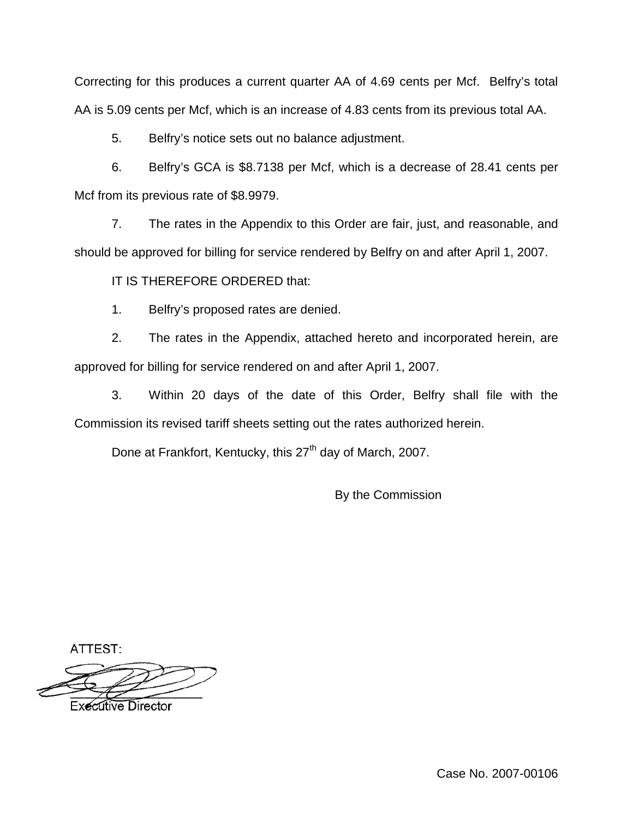Correcting for this produces a current quarter AA of 4.69 cents per Mcf. Belfry's total AA is 5.09 cents per Mcf, which is an increase of 4.83 cents from its previous total AA.

5. Belfry's notice sets out no balance adjustment.

6. Belfry's GCA is \$8.7138 per Mcf, which is a decrease of 28.41 cents per Mcf from its previous rate of \$8.9979.

7. The rates in the Appendix to this Order are fair, just, and reasonable, and should be approved for billing for service rendered by Belfry on and after April 1, 2007.

IT IS THEREFORE ORDERED that:

1. Belfry's proposed rates are denied.

2. The rates in the Appendix, attached hereto and incorporated herein, are approved for billing for service rendered on and after April 1, 2007.

3. Within 20 days of the date of this Order, Belfry shall file with the Commission its revised tariff sheets setting out the rates authorized herein.

Done at Frankfort, Kentucky, this 27<sup>th</sup> day of March, 2007.

By the Commission

ATTEST:

**Executive Director** 

Case No. 2007-00106